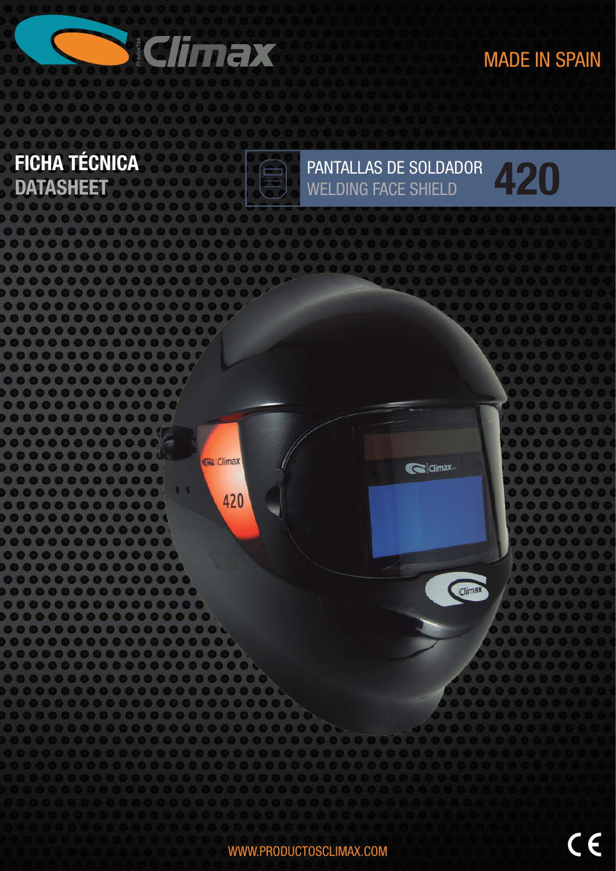## Climax

## MADE IN SPAIN

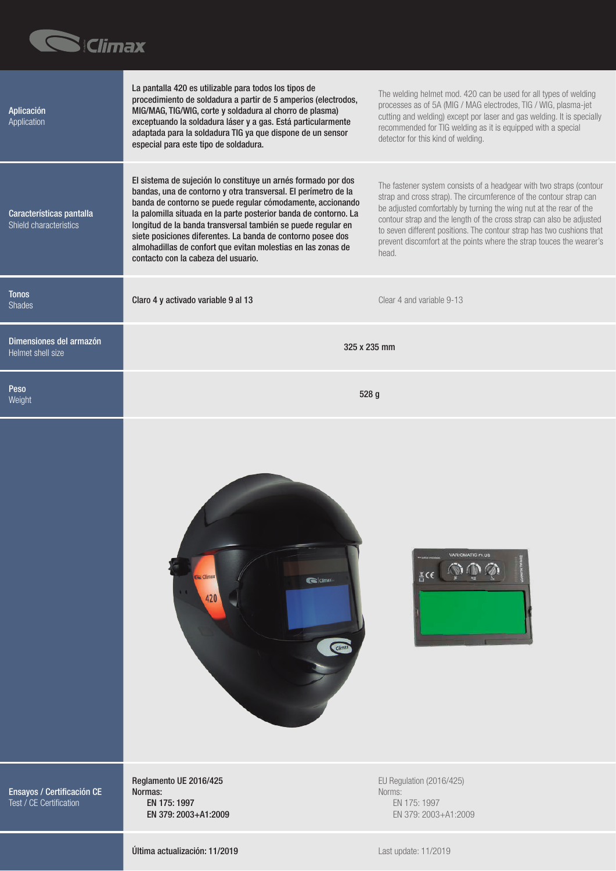

| Aplicación<br>Application                          | La pantalla 420 es utilizable para todos los tipos de<br>procedimiento de soldadura a partir de 5 amperios (electrodos,<br>MIG/MAG, TIG/WIG, corte y soldadura al chorro de plasma)<br>exceptuando la soldadura láser y a gas. Está particularmente<br>adaptada para la soldadura TIG ya que dispone de un sensor<br>especial para este tipo de soldadura.                                                                                                                                              | The welding helmet mod. 420 can be used for all types of welding<br>processes as of 5A (MIG / MAG electrodes, TIG / WIG, plasma-jet<br>cutting and welding) except por laser and gas welding. It is specially<br>recommended for TIG welding as it is equipped with a special<br>detector for this kind of welding.                                                                                                                               |  |
|----------------------------------------------------|---------------------------------------------------------------------------------------------------------------------------------------------------------------------------------------------------------------------------------------------------------------------------------------------------------------------------------------------------------------------------------------------------------------------------------------------------------------------------------------------------------|---------------------------------------------------------------------------------------------------------------------------------------------------------------------------------------------------------------------------------------------------------------------------------------------------------------------------------------------------------------------------------------------------------------------------------------------------|--|
| Características pantalla<br>Shield characteristics | El sistema de sujeción lo constituye un arnés formado por dos<br>bandas, una de contorno y otra transversal. El perímetro de la<br>banda de contorno se puede regular cómodamente, accionando<br>la palomilla situada en la parte posterior banda de contorno. La<br>longitud de la banda transversal también se puede regular en<br>siete posiciones diferentes. La banda de contorno posee dos<br>almohadillas de confort que evitan molestias en las zonas de<br>contacto con la cabeza del usuario. | The fastener system consists of a headgear with two straps (contour<br>strap and cross strap). The circumference of the contour strap can<br>be adjusted comfortably by turning the wing nut at the rear of the<br>contour strap and the length of the cross strap can also be adjusted<br>to seven different positions. The contour strap has two cushions that<br>prevent discomfort at the points where the strap touces the wearer's<br>head. |  |
| <b>Tonos</b><br><b>Shades</b>                      | Claro 4 y activado variable 9 al 13                                                                                                                                                                                                                                                                                                                                                                                                                                                                     | Clear 4 and variable 9-13                                                                                                                                                                                                                                                                                                                                                                                                                         |  |
| Dimensiones del armazón<br>Helmet shell size       | 325 x 235 mm                                                                                                                                                                                                                                                                                                                                                                                                                                                                                            |                                                                                                                                                                                                                                                                                                                                                                                                                                                   |  |
| Peso<br>Weight                                     | 528 g                                                                                                                                                                                                                                                                                                                                                                                                                                                                                                   |                                                                                                                                                                                                                                                                                                                                                                                                                                                   |  |
|                                                    | <b>Climax</b><br>C Climax.<br>$\blacksquare$<br>420<br>Climax                                                                                                                                                                                                                                                                                                                                                                                                                                           | <b>VARIOMATIC PLUS</b><br>$rac{\pi}{2}$ ce                                                                                                                                                                                                                                                                                                                                                                                                        |  |
|                                                    | Reglamento UE 2016/425                                                                                                                                                                                                                                                                                                                                                                                                                                                                                  | EU Regulation (2016/425)                                                                                                                                                                                                                                                                                                                                                                                                                          |  |

Ensayos / Certificación CE Test / CE Certification

Normas: EN 175: 1997 EN 379: 2003+A1:2009

EU Regulation (2016/425) Norms: EN 175: 1997 EN 379: 2003+A1:2009

Última actualización: 11/2019 Last update: 11/2019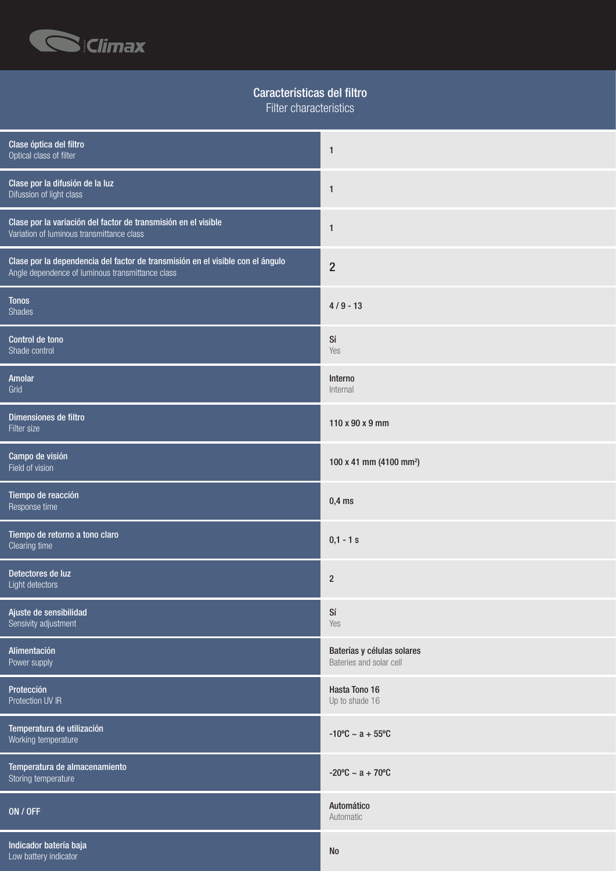

## Características del filtro

Filter characteristics

| Clase óptica del filtro<br>Optical class of filter                                                                                 | $\mathbf{1}$                                          |
|------------------------------------------------------------------------------------------------------------------------------------|-------------------------------------------------------|
| Clase por la difusión de la luz<br>Difussion of light class                                                                        | $\mathbf{1}$                                          |
| Clase por la variación del factor de transmisión en el visible<br>Variation of luminous transmittance class                        | $\mathbf{1}$                                          |
| Clase por la dependencia del factor de transmisión en el visible con el ángulo<br>Angle dependence of luminous transmittance class | $\overline{2}$                                        |
| <b>Tonos</b><br>Shades                                                                                                             | $4/9 - 13$                                            |
| Control de tono<br>Shade control                                                                                                   | Sí<br>Yes                                             |
| Amolar<br>Grid                                                                                                                     | Interno<br>Internal                                   |
| Dimensiones de filtro<br>Filter size                                                                                               | 110 x 90 x 9 mm                                       |
| Campo de visión<br>Field of vision                                                                                                 | 100 x 41 mm (4100 mm <sup>2</sup> )                   |
| Tiempo de reacción<br>Response time                                                                                                | $0,4$ ms                                              |
| Tiempo de retorno a tono claro<br>Clearing time                                                                                    | $0,1 - 1 s$                                           |
| Detectores de luz<br>Light detectors                                                                                               | $\overline{2}$                                        |
| Ajuste de sensibilidad<br>Sensivity adjustment                                                                                     | Sí<br>Yes                                             |
| Alimentación<br>Power supply                                                                                                       | Baterías y células solares<br>Bateries and solar cell |
| Protección<br>Protection UV IR                                                                                                     | Hasta Tono 16<br>Up to shade 16                       |
| Temperatura de utilización<br>Working temperature                                                                                  | $-10^{\circ}$ C ~ a + 55°C                            |
| Temperatura de almacenamiento<br>Storing temperature                                                                               | $-20^{\circ}$ C ~ a + 70 $^{\circ}$ C                 |
| ON / OFF                                                                                                                           | Automático<br>Automatic                               |
|                                                                                                                                    |                                                       |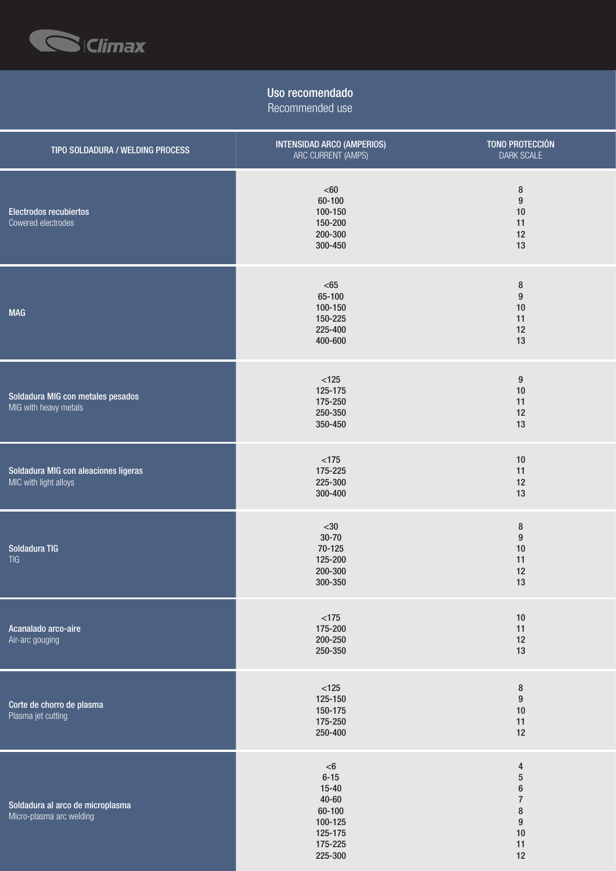

## Uso recomendado

Recommended use

| TIPO SOLDADURA / WELDING PROCESS                              | <b>INTENSIDAD ARCO (AMPERIOS)</b><br>ARC CURRENT (AMPS)                                           | TONO PROTECCIÓN<br>DARK SCALE                                                                      |
|---------------------------------------------------------------|---------------------------------------------------------------------------------------------------|----------------------------------------------------------------------------------------------------|
| Electrodos recubiertos<br>Cowered electrodes                  | $60$<br>60-100<br>100-150<br>150-200<br>200-300<br>300-450                                        | $\bf 8$<br>$\boldsymbol{9}$<br>10<br>11<br>12<br>13                                                |
| <b>MAG</b>                                                    | $65$<br>65-100<br>100-150<br>150-225<br>225-400<br>400-600                                        | 8<br>$\boldsymbol{9}$<br>10<br>11<br>12<br>13                                                      |
| Soldadura MIG con metales pesados<br>MIG with heavy metals    | $<125$<br>125-175<br>175-250<br>250-350<br>350-450                                                | $\boldsymbol{9}$<br>10<br>11<br>12<br>13                                                           |
| Soldadura MIG con aleaciones ligeras<br>MIC with light alloys | $<175$<br>175-225<br>225-300<br>300-400                                                           | 10<br>11<br>12<br>13                                                                               |
| Soldadura TIG<br><b>TIG</b>                                   | $30$<br>$30 - 70$<br>70-125<br>125-200<br>200-300<br>300-350                                      | $\bf8$<br>$\boldsymbol{9}$<br>10<br>11<br>12<br>13                                                 |
| Acanalado arco-aire<br>Air-arc gouging                        | $<175$<br>175-200<br>200-250<br>250-350                                                           | $10$<br>11<br>12<br>13                                                                             |
| Corte de chorro de plasma<br>Plasma jet cutting               | $<125$<br>125-150<br>150-175<br>175-250<br>250-400                                                | $\bf 8$<br>$\boldsymbol{9}$<br>$10$<br>11<br>12                                                    |
| Soldadura al arco de microplasma<br>Micro-plasma arc welding  | $<$ 6<br>$6 - 15$<br>$15 - 40$<br>$40 - 60$<br>60-100<br>100-125<br>125-175<br>175-225<br>225-300 | $\overline{4}$<br>$\bf 5$<br>$\bf 6$<br>$\sqrt{7}$<br>$\bf8$<br>$\boldsymbol{9}$<br>10<br>11<br>12 |